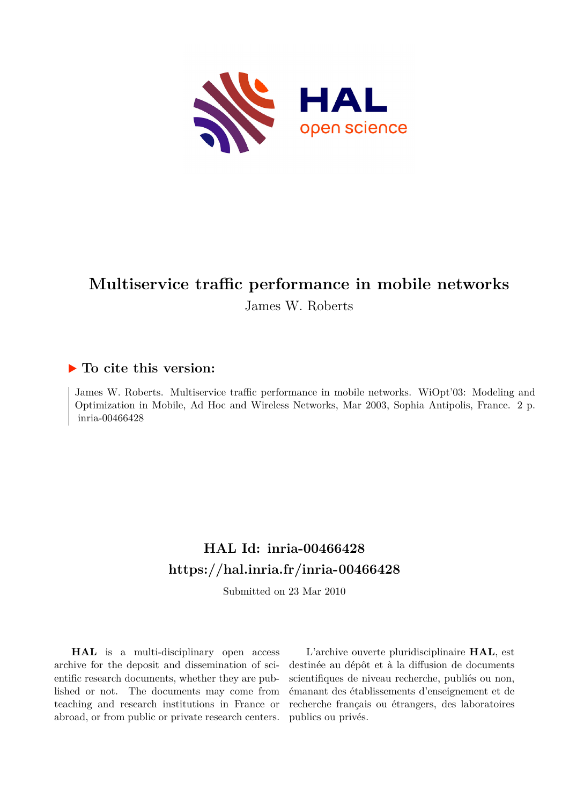

# **Multiservice traffic performance in mobile networks**

James W. Roberts

#### **To cite this version:**

James W. Roberts. Multiservice traffic performance in mobile networks. WiOpt'03: Modeling and Optimization in Mobile, Ad Hoc and Wireless Networks, Mar 2003, Sophia Antipolis, France. 2 p. inria-00466428

## **HAL Id: inria-00466428 <https://hal.inria.fr/inria-00466428>**

Submitted on 23 Mar 2010

**HAL** is a multi-disciplinary open access archive for the deposit and dissemination of scientific research documents, whether they are published or not. The documents may come from teaching and research institutions in France or abroad, or from public or private research centers.

L'archive ouverte pluridisciplinaire **HAL**, est destinée au dépôt et à la diffusion de documents scientifiques de niveau recherche, publiés ou non, émanant des établissements d'enseignement et de recherche français ou étrangers, des laboratoires publics ou privés.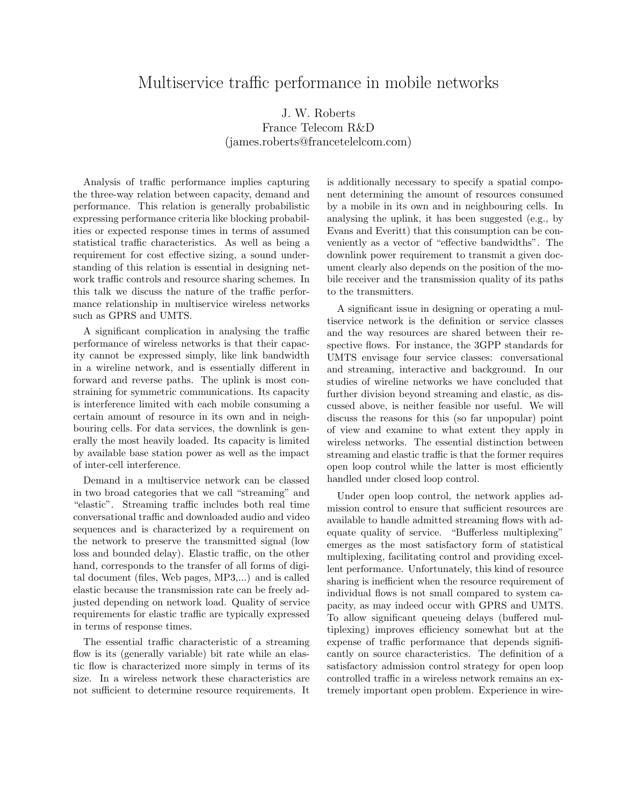### Multiservice traffic performance in mobile networks

#### J. W. Roberts France Telecom R&D (james.roberts@francetelelcom.com)

Analysis of traffic performance implies capturing the three-way relation between capacity, demand and performance. This relation is generally probabilistic expressing performance criteria like blocking probabilities or expected response times in terms of assumed statistical traffic characteristics. As well as being a requirement for cost effective sizing, a sound understanding of this relation is essential in designing network traffic controls and resource sharing schemes. In this talk we discuss the nature of the traffic performance relationship in multiservice wireless networks such as GPRS and UMTS.

A significant complication in analysing the traffic performance of wireless networks is that their capacity cannot be expressed simply, like link bandwidth in a wireline network, and is essentially different in forward and reverse paths. The uplink is most constraining for symmetric communications. Its capacity is interference limited with each mobile consuming a certain amount of resource in its own and in neighbouring cells. For data services, the downlink is generally the most heavily loaded. Its capacity is limited by available base station power as well as the impact of inter-cell interference.

Demand in a multiservice network can be classed in two broad categories that we call "streaming" and "elastic". Streaming traffic includes both real time conversational traffic and downloaded audio and video sequences and is characterized by a requirement on the network to preserve the transmitted signal (low loss and bounded delay). Elastic traffic, on the other hand, corresponds to the transfer of all forms of digital document (files, Web pages, MP3,...) and is called elastic because the transmission rate can be freely adjusted depending on network load. Quality of service requirements for elastic traffic are typically expressed in terms of response times.

The essential traffic characteristic of a streaming flow is its (generally variable) bit rate while an elastic flow is characterized more simply in terms of its size. In a wireless network these characteristics are not sufficient to determine resource requirements. It

is additionally necessary to specify a spatial component determining the amount of resources consumed by a mobile in its own and in neighbouring cells. In analysing the uplink, it has been suggested (e.g., by Evans and Everitt) that this consumption can be conveniently as a vector of "effective bandwidths". The downlink power requirement to transmit a given document clearly also depends on the position of the mobile receiver and the transmission quality of its paths to the transmitters.

A significant issue in designing or operating a multiservice network is the definition or service classes and the way resources are shared between their respective flows. For instance, the 3GPP standards for UMTS envisage four service classes: conversational and streaming, interactive and background. In our studies of wireline networks we have concluded that further division beyond streaming and elastic, as discussed above, is neither feasible nor useful. We will discuss the reasons for this (so far unpopular) point of view and examine to what extent they apply in wireless networks. The essential distinction between streaming and elastic traffic is that the former requires open loop control while the latter is most efficiently handled under closed loop control.

Under open loop control, the network applies admission control to ensure that sufficient resources are available to handle admitted streaming flows with adequate quality of service. "Bufferless multiplexing" emerges as the most satisfactory form of statistical multiplexing, facilitating control and providing excellent performance. Unfortunately, this kind of resource sharing is inefficient when the resource requirement of individual flows is not small compared to system capacity, as may indeed occur with GPRS and UMTS. To allow significant queueing delays (buffered multiplexing) improves efficiency somewhat but at the expense of traffic performance that depends significantly on source characteristics. The definition of a satisfactory admission control strategy for open loop controlled traffic in a wireless network remains an extremely important open problem. Experience in wire